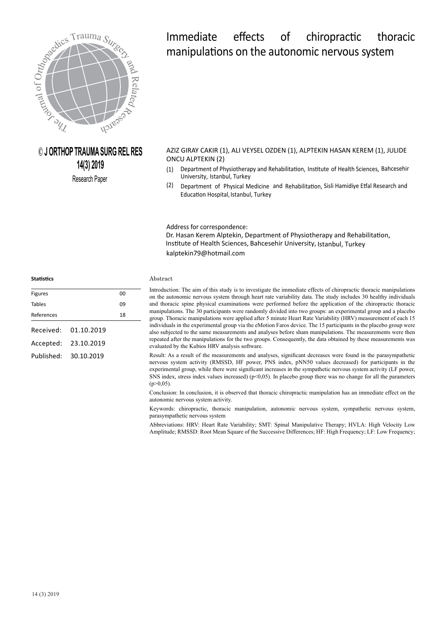

# **© J ORTHOP TRAUMA SURG REL RES 14(3) 2019**

Research Paper

# Immediate effects of chiropractic thoracic manipulations on the autonomic nervous system

AZIZ GIRAY CAKIR (1), ALI VEYSEL OZDEN (1), ALPTEKIN HASAN KEREM (1), JULIDE ONCU ALPTEKIN (2)

- (1) Department of Physiotherapy and Rehabilitation, Institute of Health Sciences, Bahcesehir University, Istanbul, Turkey
- (2) Education Hospital, Istanbul, Turkey Department of Physical Medicine and Rehabilitation, Sisli Hamidiye Etfal Research and

Address for correspondence: kalptekin79@hotmail.com Dr. Hasan Kerem Alptekin, Department of Physiotherapy and Rehabilitation, Institute of Health Sciences, Bahcesehir University, Istanbul, Turkey

#### Abstract

Introduction: The aim of this study is to investigate the immediate effects of chiropractic thoracic manipulations on the autonomic nervous system through heart rate variability data. The study includes 30 healthy individuals and thoracic spine physical examinations were performed before the application of the chiropractic thoracic manipulations. The 30 participants were randomly divided into two groups: an experimental group and a placebo group. Thoracic manipulations were applied after 5 minute Heart Rate Variability (HRV) measurement of each 15 individuals in the experimental group via the eMotion Faros device. The 15 participants in the placebo group were also subjected to the same measurements and analyses before sham manipulations. The measurements were then repeated after the manipulations for the two groups. Consequently, the data obtained by these measurements was evaluated by the Kubios HRV analysis software.

Result: As a result of the measurements and analyses, significant decreases were found in the parasympathetic nervous system activity (RMSSD, HF power, PNS index, pNN50 values decreased) for participants in the experimental group, while there were significant increases in the sympathetic nervous system activity (LF power, SNS index, stress index values increased) ( $p<0.05$ ). In placebo group there was no change for all the parameters  $(p>0,05)$ .

Conclusion: In conclusion, it is observed that thoracic chiropractic manipulation has an immediate effect on the autonomic nervous system activity.

Keywords: chiropractic, thoracic manipulation, autonomic nervous system, sympathetic nervous system, parasympathetic nervous system

Abbreviations: HRV: Heart Rate Variability; SMT: Spinal Manipulative Therapy; HVLA: High Velocity Low Amplitude; RMSSD: Root Mean Square of the Successive Differences; HF: High Frequency; LF: Low Frequency;

| <b>Figures</b> |            | n٥ |
|----------------|------------|----|
| <b>Tables</b>  |            | n٩ |
| References     |            | 18 |
|                |            |    |
| Received:      | 01.10.2019 |    |
| Accepted:      | 23.10.2019 |    |
|                |            |    |
| Published:     | 30.10.2019 |    |
|                |            |    |

**Statistics**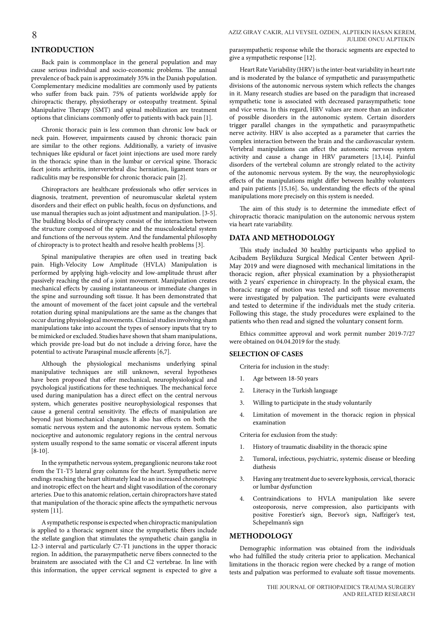# **INTRODUCTION**

Back pain is commonplace in the general population and may cause serious individual and socio-economic problems. The annual prevalence of back pain is approximately 35% in the Danish population. Complementary medicine modalities are commonly used by patients who suffer from back pain. 75% of patients worldwide apply for chiropractic therapy, physiotherapy or osteopathy treatment. Spinal Manipulative Therapy (SMT) and spinal mobilization are treatment options that clinicians commonly offer to patients with back pain [1].

Chronic thoracic pain is less common than chronic low back or neck pain. However, impairments caused by chronic thoracic pain are similar to the other regions. Additionally, a variety of invasive techniques like epidural or facet joint injections are used more rarely in the thoracic spine than in the lumbar or cervical spine. Thoracic facet joints arthritis, intervertebral disc herniation, ligament tears or radiculitis may be responsible for chronic thoracic pain [2].

Chiropractors are healthcare professionals who offer services in diagnosis, treatment, prevention of neuromuscular skeletal system disorders and their effect on public health, focus on dysfunctions, and use manual therapies such as joint adjustment and manipulation. [3-5]. The building blocks of chiropracty consist of the interaction between the structure composed of the spine and the musculoskeletal system and functions of the nervous system. And the fundamental philosophy of chiropracty is to protect health and resolve health problems [3].

Spinal manipulative therapies are often used in treating back pain. High-Velocity Low Amplitude (HVLA) Manipulation is performed by applying high-velocity and low-amplitude thrust after passively reaching the end of a joint movement. Manipulation creates mechanical effects by causing instantaneous or immediate changes in the spine and surrounding soft tissue. It has been demonstrated that the amount of movement of the facet joint capsule and the vertebral rotation during spinal manipulations are the same as the changes that occur during physiological movements. Clinical studies involving sham manipulations take into account the types of sensory inputs that try to be mimicked or excluded. Studies have shown that sham manipulations, which provide pre-load but do not include a driving force, have the potential to activate Paraspinal muscle afferents [6,7].

Although the physiological mechanisms underlying spinal manipulative techniques are still unknown, several hypotheses have been proposed that offer mechanical, neurophysiological and psychological justifications for these techniques. The mechanical force used during manipulation has a direct effect on the central nervous system, which generates positive neurophysiological responses that cause a general central sensitivity. The effects of manipulation are beyond just biomechanical changes. It also has effects on both the somatic nervous system and the autonomic nervous system. Somatic nociceptive and autonomic regulatory regions in the central nervous system usually respond to the same somatic or visceral afferent inputs [8-10].

In the sympathetic nervous system, preganglionic neurons take root from the T1-T5 lateral gray columns for the heart. Sympathetic nerve endings reaching the heart ultimately lead to an increased chronotropic and inotropic effect on the heart and slight vasodilation of the coronary arteries. Due to this anatomic relation, certain chiropractors have stated that manipulation of the thoracic spine affects the sympathetic nervous system [11].

A sympathetic response is expected when chiropractic manipulation is applied to a thoracic segment since the sympathetic fibers include the stellate ganglion that stimulates the sympathetic chain ganglia in L2-3 interval and particularly C7-T1 junctions in the upper thoracic region. In addition, the parasympathetic nerve fibers connected to the brainstem are associated with the C1 and C2 vertebrae. In line with this information, the upper cervical segment is expected to give a parasympathetic response while the thoracic segments are expected to give a sympathetic response [12].

Heart Rate Variability (HRV) is the inter-beat variability in heart rate and is moderated by the balance of sympathetic and parasympathetic divisions of the autonomic nervous system which reflects the changes in it. Many research studies are based on the paradigm that increased sympathetic tone is associated with decreased parasympathetic tone and vice versa. In this regard, HRV values are more than an indicator of possible disorders in the autonomic system. Certain disorders trigger parallel changes in the sympathetic and parasympathetic nerve activity. HRV is also accepted as a parameter that carries the complex interaction between the brain and the cardiovascular system. Vertebral manipulations can affect the autonomic nervous system activity and cause a change in HRV parameters [13,14]. Painful disorders of the vertebral column are strongly related to the activity of the autonomic nervous system. By the way, the neurophysiologic effects of the manipulations might differ between healthy volunteers and pain patients [15,16]. So, understanding the effects of the spinal manipulations more precisely on this system is needed.

The aim of this study is to determine the immediate effect of chiropractic thoracic manipulation on the autonomic nervous system via heart rate variability.

# **DATA AND METHODOLOGY**

This study included 30 healthy participants who applied to Acibadem Beylikduzu Surgical Medical Center between April-May 2019 and were diagnosed with mechanical limitations in the thoracic region, after physical examination by a physiotherapist with 2 years' experience in chiropracty. In the physical exam, the thoracic range of motion was tested and soft tissue movements were investigated by palpation. The participants were evaluated and tested to determine if the individuals met the study criteria. Following this stage, the study procedures were explained to the patients who then read and signed the voluntary consent form.

Ethics committee approval and work permit number 2019-7/27 were obtained on 04.04.2019 for the study.

#### **SELECTION OF CASES**

Criteria for inclusion in the study:

- 1. Age between 18-50 years
- 2. Literacy in the Turkish language
- Willing to participate in the study voluntarily
- 4. Limitation of movement in the thoracic region in physical examination

Criteria for exclusion from the study:

- 1. History of traumatic disability in the thoracic spine
- 2. Tumoral, infectious, psychiatric, systemic disease or bleeding diathesis
- 3. Having any treatment due to severe kyphosis, cervical, thoracic or lumbar dysfunction
- 4. Contraindications to HVLA manipulation like severe osteoporosis, nerve compression, also participants with positive Forestier's sign, Beevor's sign, Naffziger's test, Schepelmann's sign

# **METHODOLOGY**

Demographic information was obtained from the individuals who had fulfilled the study criteria prior to application. Mechanical limitations in the thoracic region were checked by a range of motion tests and palpation was performed to evaluate soft tissue movements.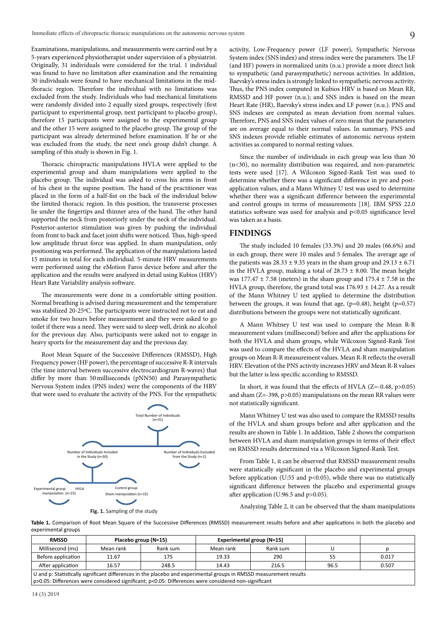Examinations, manipulations, and measurements were carried out by a 5-years experienced physiotherapist under supervision of a physiatrist. Originally, 31 individuals were considered for the trial. 1 individual was found to have no limitation after examination and the remaining 30 individuals were found to have mechanical limitations in the midthoracic region. Therefore the individual with no limitations was excluded from the study. Individuals who had mechanical limitations were randomly divided into 2 equally sized groups, respectively (first participant to experimental group, next participant to placebo group), therefore 15 participants were assigned to the experimental group and the other 15 were assigned to the placebo group. The group of the participant was already determined before examination. If he or she was excluded from the study, the next one's group didn't change. A sampling of this study is shown in Fig. 1.

Thoracic chiropractic manipulations HVLA were applied to the experimental group and sham manipulations were applied to the placebo group. The individual was asked to cross his arms in front of his chest in the supine position. The hand of the practitioner was placed in the form of a half-fist on the back of the individual below the limited thoracic region. In this position, the transverse processes lie under the fingertips and thinner area of the hand. The other hand supported the neck from posteriorly under the neck of the individual. Posterior-anterior stimulation was given by pushing the individual from front to back and facet joint shifts were noticed. Thus, high-speed low amplitude thrust force was applied. In sham manipulation, only positioning was performed. The application of the manipulations lasted 15 minutes in total for each individual. 5-minute HRV measurements were performed using the eMotion Faros device before and after the application and the results were analyzed in detail using Kubios (HRV) Heart Rate Variability analysis software.

The measurements were done in a comfortable sitting position. Normal breathing is advised during measurement and the temperature was stabilized 20-25ºC. The participants were instructed not to eat and smoke for two hours before measurement and they were asked to go toilet if there was a need. They were said to sleep well, drink no alcohol for the previous day. Also, participants were asked not to engage in heavy sports for the measurement day and the previous day.

Root Mean Square of the Successive Differences (RMSSD), High Frequency power (HF power), the percentage of successive R-R intervals (the time interval between successive electrocardiogram R-waves) that differ by more than 50milliseconds (pNN50) and Parasympathetic Nervous System index (PNS index) were the components of the HRV that were used to evaluate the activity of the PNS. For the sympathetic



activity, Low-Frequency power (LF power), Sympathetic Nervous System index (SNS index) and stress index were the parameters. The LF (and HF) powers in normalized units (n.u.) provide a more direct link to sympathetic (and parasympathetic) nervous activities. In addition, Baevsky's stress index is strongly linked to sympathetic nervous activity. Thus, the PNS index computed in Kubios HRV is based on Mean RR, RMSSD and HF power (n.u.); and SNS index is based on the mean Heart Rate (HR), Baevsky's stress index and LF power (n.u.). PNS and SNS indexes are computed as mean deviation from normal values. Therefore, PNS and SNS index values of zero mean that the parameters are on average equal to their normal values. In summary, PNS and SNS indexes provide reliable estimates of autonomic nervous system activities as compared to normal resting values.

Since the number of individuals in each group was less than 30 (n<30), no normality distribution was required, and non-parametric tests were used [17]. A Wilcoxon Signed-Rank Test was used to determine whether there was a significant difference in pre and postapplication values, and a Mann Whitney U test was used to determine whether there was a significant difference between the experimental and control groups in terms of measurements [18]. IBM SPSS 22.0 statistics software was used for analysis and p<0.05 significance level was taken as a basis.

# **FINDINGS**

The study included 10 females (33.3%) and 20 males (66.6%) and in each group, there were 10 males and 5 females. The average age of the patients was  $28.33 \pm 9.35$  years in the sham group and  $29.13 \pm 6.71$ in the HVLA group, making a total of  $28.73 \pm 8.00$ . The mean height was  $177.47 \pm 7.58$  (meters) in the sham group and  $175.4 \pm 7.58$  in the HVLA group, therefore, the grand total was  $176.93 \pm 14.27$ . As a result of the Mann Whitney U test applied to determine the distribution between the groups, it was found that age,  $(p=0.48)$ , height  $(p=0.57)$ distributions between the groups were not statistically significant.

A Mann Whitney U test was used to compare the Mean R-R measurement values (millisecond) before and after the applications for both the HVLA and sham groups, while Wilcoxon Signed-Rank Test was used to compare the effects of the HVLA and sham manipulation groups on Mean R-R measurement values. Mean R-R reflects the overall HRV. Elevation of the PNS activity increases HRV and Mean R-R values but the latter is less specific according to RMSSD.

In short, it was found that the effects of HVLA (Z=-0.48, p>0.05) and sham (Z=-398, p>0.05) manipulations on the mean RR values were not statistically significant.

Mann Whitney U test was also used to compare the RMSSD results of the HVLA and sham groups before and after application and the results are shown in Table 1. In addition, Table 2 shows the comparison between HVLA and sham manipulation groups in terms of their effect on RMSSD results determined via a Wilcoxon Signed-Rank Test.

From Table 1, it can be observed that RMSSD measurement results were statistically significant in the placebo and experimental groups before application (U:55 and p<0.05), while there was no statistically significant difference between the placebo and experimental groups after application (U:96.5 and p>0.05).

Analyzing Table 2, it can be observed that the sham manipulations

**Table 1.** Comparison of Root Mean Square of the Successive Differences (RMSSD) measurement results before and after applications in both the placebo and experimental groups

| <b>RMSSD</b>                                                           |                                                                                                                    | Placebo group (N=15)                                                                                         |           | <b>Experimental group (N=15)</b> |    |       |  |  |  |  |  |
|------------------------------------------------------------------------|--------------------------------------------------------------------------------------------------------------------|--------------------------------------------------------------------------------------------------------------|-----------|----------------------------------|----|-------|--|--|--|--|--|
| Millisecond (ms)                                                       | Mean rank                                                                                                          | Rank sum                                                                                                     | Mean rank | Rank sum                         |    |       |  |  |  |  |  |
| Before application                                                     | 11.67                                                                                                              | 175                                                                                                          | 19.33     | 290                              | 55 | 0.017 |  |  |  |  |  |
| After application<br>16.57<br>0.507<br>248.5<br>216.5<br>14.43<br>96.5 |                                                                                                                    |                                                                                                              |           |                                  |    |       |  |  |  |  |  |
|                                                                        | U and p: Statistically significant differences in the placebo and experimental groups in RMSSD measurement results |                                                                                                              |           |                                  |    |       |  |  |  |  |  |
|                                                                        |                                                                                                                    | $\vert$ p>0.05: Differences were considered significant; p<0.05: Differences were considered non-significant |           |                                  |    |       |  |  |  |  |  |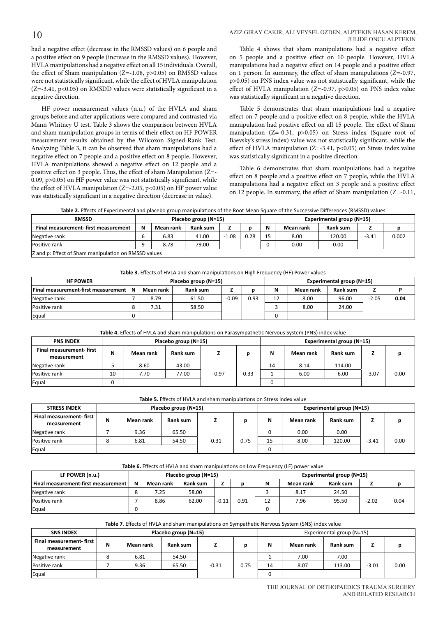#### JULIDE ONCU ALPTEKIN AZIZ GIRAY CAKIR, ALI VEYSEL OZDEN, ALPTEKIN HASAN KEREM,

had a negative effect (decrease in the RMSSD values) on 6 people and a positive effect on 9 people (increase in the RMSSD values). However, HVLA manipulations had a negative effect on all 15 individuals. Overall, the effect of Sham manipulation (Z=-1.08, p>0.05) on RMSSD values were not statistically significant, while the effect of HVLA manipulation  $(Z=-3.41, p<0.05)$  on RMSDD values were statistically significant in a negative direction.

HF power measurement values (n.u.) of the HVLA and sham groups before and after applications were compared and contrasted via Mann Whitney U test. Table 3 shows the comparison between HVLA and sham manipulation groups in terms of their effect on HF POWER measurement results obtained by the Wilcoxon Signed-Rank Test. Analyzing Table 3, it can be observed that sham manipulations had a negative effect on 7 people and a positive effect on 8 people. However, HVLA manipulations showed a negative effect on 12 people and a positive effect on 3 people. Thus, the effect of sham Manipulation (Z=- 0.09, p>0.05) on HF power value was not statistically significant, while the effect of HVLA manipulation (Z=-2.05, p<0.05) on HF power value was statistically significant in a negative direction (decrease in value).

Table 4 shows that sham manipulations had a negative effect on 5 people and a positive effect on 10 people. However, HVLA manipulations had a negative effect on 14 people and a positive effect on 1 person. In summary, the effect of sham manipulations (Z=-0.97, p>0.05) on PNS index value was not statistically significant, while the effect of HVLA manipulation (Z=-0.97, p>0.05) on PNS index value was statistically significant in a negative direction.

Table 5 demonstrates that sham manipulations had a negative effect on 7 people and a positive effect on 8 people, while the HVLA manipulation had positive effect on all 15 people. The effect of Sham manipulation (Z=-0.31, p>0.05) on Stress index (Square root of Baevsky's stress index) value was not statistically significant, while the effect of HVLA manipulation (Z=-3.41, p<0.05) on Stress index value was statistically significant in a positive direction.

Table 6 demonstrates that sham manipulations had a negative effect on 8 people and a positive effect on 7 people, while the HVLA manipulations had a negative effect on 3 people and a positive effect on 12 people. In summary, the effect of Sham manipulation (Z=-0.11,

**Table 2.** Effects of Experimental and placebo group manipulations of the Root Mean Square of the Successive Differences (RMSSD) values

| <b>RMSSD</b>                                         |   | Placebo group (N=15) |          |      |      |    | Experimental group (N=15) |          |         |       |  |  |
|------------------------------------------------------|---|----------------------|----------|------|------|----|---------------------------|----------|---------|-------|--|--|
| Final measurement-first measurement                  | N | Mean rank            | Rank sum |      |      | N  | Mean rank                 | Rank sum |         |       |  |  |
| Negative rank                                        |   | 6.83                 | 41.00    | 1.08 | 0.28 | 15 | 8.00                      | 120.00   | $-3.41$ | 0.002 |  |  |
| Positive rank                                        |   | 8.78                 | 79.00    |      |      |    | 0.00                      | 0.00     |         |       |  |  |
| Z and p: Effect of Sham manipulation on RMSSD values |   |                      |          |      |      |    |                           |          |         |       |  |  |

**Table 3.** Effects of HVLA and sham manipulations on High Frequency (HF) Power values

| <b>HF POWER</b>                            |                | Placebo group (N=15) |          | Experimental group (N=15) |      |    |           |          |         |      |
|--------------------------------------------|----------------|----------------------|----------|---------------------------|------|----|-----------|----------|---------|------|
| <b>Final measurement-first measurement</b> | $\blacksquare$ | Mean rank            | Rank sum |                           |      | N  | Mean rank | Rank sum |         |      |
| Negative rank                              |                | 8.79                 | 61.50    | $-0.09$                   | 0.93 | 12 | 8.00      | 96.00    | $-2.05$ | 0.04 |
| Positive rank                              |                | 7.31                 | 58.50    |                           |      |    | 8.00      | 24.00    |         |      |
| Equal                                      |                |                      |          |                           |      |    |           |          |         |      |

| Table 4. Effects of HVLA and sham manipulations on Parasympathetic Nervous System (PNS) index value |  |
|-----------------------------------------------------------------------------------------------------|--|
|-----------------------------------------------------------------------------------------------------|--|

| <b>PNS INDEX</b>                       |    |           | Placebo group (N=15) |         | <b>Experimental group (N=15)</b> |    |           |          |         |      |
|----------------------------------------|----|-----------|----------------------|---------|----------------------------------|----|-----------|----------|---------|------|
| Final measurement-first<br>measurement | N  | Mean rank | Rank sum             |         |                                  | Ν  | Mean rank | Rank sum |         | n    |
| Negative rank                          |    | 8.60      | 43.00                |         |                                  | 14 | 8.14      | 114.00   |         |      |
| Positive rank                          | 10 | 7.70      | 77.00                | $-0.97$ | 0.33                             |    | 6.00      | 6.00     | $-3.07$ | 0.00 |
| Equal                                  |    |           |                      |         |                                  |    |           |          |         |      |

**Table 5.** Effects of HVLA and sham manipulations on Stress index value

|                                        | Table 5. Ellects of HVLA and shall inambulations on Stress index value. |           |                      |         |      |                           |           |          |         |      |  |  |
|----------------------------------------|-------------------------------------------------------------------------|-----------|----------------------|---------|------|---------------------------|-----------|----------|---------|------|--|--|
| <b>STRESS INDEX</b>                    |                                                                         |           | Placebo group (N=15) |         |      | Experimental group (N=15) |           |          |         |      |  |  |
| Final measurement-first<br>measurement | N                                                                       | Mean rank | Rank sum             |         |      | N                         | Mean rank | Rank sum |         |      |  |  |
| Negative rank                          |                                                                         | 9.36      | 65.50                |         |      |                           | 0.00      | 0.00     |         |      |  |  |
| Positive rank                          | 8                                                                       | 6.81      | 54.50                | $-0.31$ | 0.75 | 15                        | 8.00      | 120.00   | $-3.41$ | 0.00 |  |  |
| Equal                                  |                                                                         |           |                      |         |      |                           |           |          |         |      |  |  |

#### **Table 6.** Effects of HVLA and sham manipulations on Low Frequency (LF) power value

| LF POWER (n.u.)                     |   | Placebo group (N=15) |                 |         |      |    | Experimental group (N=15) |          |         |      |  |  |
|-------------------------------------|---|----------------------|-----------------|---------|------|----|---------------------------|----------|---------|------|--|--|
| Final measurement-first measurement | N | Mean rank            | <b>Rank sum</b> |         |      | N  | Mean rank                 | Rank sum | -       |      |  |  |
| Negative rank                       | 8 | 7.25                 | 58.00           |         |      |    | 8.17                      | 24.50    |         |      |  |  |
| Positive rank                       |   | 8.86                 | 62.00           | $-0.11$ | 0.91 | 12 | 7.96                      | 95.50    | $-2.02$ | 0.04 |  |  |
| Equal                               |   |                      |                 |         |      |    |                           |          |         |      |  |  |

#### **Table 7**. Effects of HVLA and sham manipulations on Sympathetic Nervous System (SNS) index value

| <b>SNS INDEX</b>                              |   |           | Placebo group (N=15) |         | Experimental group (N=15) |    |           |          |         |      |
|-----------------------------------------------|---|-----------|----------------------|---------|---------------------------|----|-----------|----------|---------|------|
| <b>Final measurement-first</b><br>measurement | Ν | Mean rank | Rank sum             |         |                           | N  | Mean rank | Rank sum |         | n    |
| Negative rank                                 | ິ | 6.81      | 54.50                |         |                           |    | 7.00      | 7.00     |         |      |
| Positive rank                                 |   | 9.36      | 65.50                | $-0.31$ | 0.75                      | 14 | 8.07      | 113.00   | $-3.01$ | 0.00 |
| Equal                                         |   |           |                      |         |                           | 0  |           |          |         |      |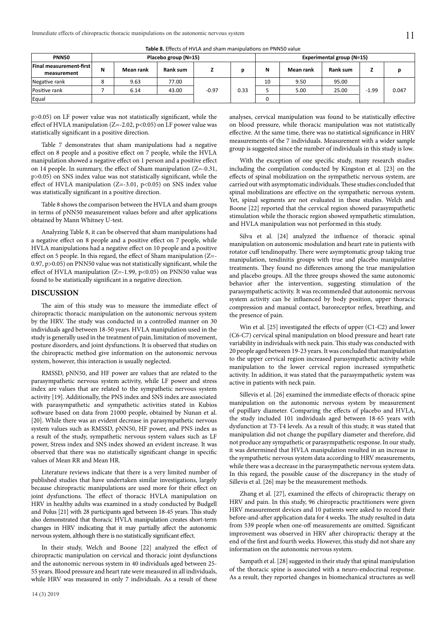| Table 8. Effects of HVLA and sham manipulations on PNN50 value |  |
|----------------------------------------------------------------|--|
|----------------------------------------------------------------|--|

| <b>PNN50</b>                   |               |           | Placebo group (N=15) |         | Experimental group (N=15) |          |           |          |         |       |
|--------------------------------|---------------|-----------|----------------------|---------|---------------------------|----------|-----------|----------|---------|-------|
| <b>Final measurement-first</b> | N             | Mean rank | Rank sum             |         | n                         | N        | Mean rank | Rank sum | -       |       |
| measurement                    |               |           |                      |         |                           |          |           |          |         |       |
| Negative rank                  | $\Omega$<br>ە | 9.63      | 77.00                |         |                           | 10       | 9.50      | 95.00    |         |       |
| Positive rank                  |               | 6.14      | 43.00                | $-0.97$ | 0.33                      |          | 5.00      | 25.00    | $-1.99$ | 0.047 |
| Equal                          |               |           |                      |         |                           | $\Omega$ |           |          |         |       |

p>0.05) on LF power value was not statistically significant, while the effect of HVLA manipulation (Z=-2.02, p<0.05) on LF power value was statistically significant in a positive direction.

Table 7 demonstrates that sham manipulations had a negative effect on 8 people and a positive effect on 7 people, while the HVLA manipulation showed a negative effect on 1 person and a positive effect on 14 people. In summary, the effect of Sham manipulation (Z=-0.31, p>0.05) on SNS index value was not statistically significant, while the effect of HVLA manipulation ( $Z=-3.01$ ,  $p<0.05$ ) on SNS index value was statistically significant in a positive direction.

Table 8 shows the comparison between the HVLA and sham groups in terms of pNN50 measurement values before and after applications obtained by Mann Whitney U-test.

Analyzing Table 8, it can be observed that sham manipulations had a negative effect on 8 people and a positive effect on 7 people, while HVLA manipulations had a negative effect on 10 people and a positive effect on 5 people. In this regard, the effect of Sham manipulation (Z=- 0.97, p>0.05) on PNN50 value was not statistically significant, while the effect of HVLA manipulation (Z=-1.99, p<0.05) on PNN50 value was found to be statistically significant in a negative direction.

### **DISCUSSION**

The aim of this study was to measure the immediate effect of chiropractic thoracic manipulation on the autonomic nervous system by the HRV. The study was conducted in a controlled manner on 30 individuals aged between 18-50 years. HVLA manipulation used in the study is generally used in the treatment of pain, limitation of movement, posture disorders, and joint dysfunctions. It is observed that studies on the chiropractic method give information on the autonomic nervous system, however, this interaction is usually neglected.

RMSSD, pNN50, and HF power are values that are related to the parasympathetic nervous system activity, while LF power and stress index are values that are related to the sympathetic nervous system activity [19]. Additionally, the PNS index and SNS index are associated with parasympathetic and sympathetic activities stated in Kubios software based on data from 21000 people, obtained by Nunan et al. [20]. While there was an evident decrease in parasympathetic nervous system values such as RMSSD, pNN50, HF power, and PNS index as a result of the study, sympathetic nervous system values such as LF power, Stress index and SNS index showed an evident increase. It was observed that there was no statistically significant change in specific values of Mean RR and Mean HR.

Literature reviews indicate that there is a very limited number of published studies that have undertaken similar investigations, largely because chiropractic manipulations are used more for their effect on joint dysfunctions. The effect of thoracic HVLA manipulation on HRV in healthy adults was examined in a study conducted by Budgell and Polus [21] with 28 participants aged between 18-45 years. This study also demonstrated that thoracic HVLA manipulation creates short-term changes in HRV indicating that it may partially affect the autonomic nervous system, although there is no statistically significant effect.

In their study, Welch and Boone [22] analyzed the effect of chiropractic manipulation on cervical and thoracic joint dysfunctions and the autonomic nervous system in 40 individuals aged between 25- 55 years. Blood pressure and heart rate were measured in all individuals, while HRV was measured in only 7 individuals. As a result of these

analyses, cervical manipulation was found to be statistically effective on blood pressure, while thoracic manipulation was not statistically effective. At the same time, there was no statistical significance in HRV measurements of the 7 individuals. Measurement with a wider sample group is suggested since the number of individuals in this study is low.

With the exception of one specific study, many research studies including the compilation conducted by Kingston et al. [23] on the effects of spinal mobilization on the sympathetic nervous system, are carried out with asymptomatic individuals. These studies concluded that spinal mobilizations are effective on the sympathetic nervous system. Yet, spinal segments are not evaluated in these studies. Welch and Boone [22] reported that the cervical region showed parasympathetic stimulation while the thoracic region showed sympathetic stimulation, and HVLA manipulation was not performed in this study.

Silva et al. [24] analyzed the influence of thoracic spinal manipulation on autonomic modulation and heart rate in patients with rotator cuff tendinopathy. There were asymptomatic group taking true manipulation, tendinitis groups with true and placebo manipulative treatments. They found no differences among the true manipulation and placebo groups. All the three groups showed the same autonomic behavior after the intervention, suggesting stimulation of the parasympathetic activity. It was recommended that autonomic nervous system activity can be influenced by body position, upper thoracic compression and manual contact, baroreceptor reflex, breathing, and the presence of pain.

Win et al. [25] investigated the effects of upper (C1-C2) and lower (C6-C7) cervical spinal manipulation on blood pressure and heart rate variability in individuals with neck pain. This study was conducted with 20 people aged between 19-23 years. It was concluded that manipulation to the upper cervical region increased parasympathetic activity while manipulation to the lower cervical region increased sympathetic activity. In addition, it was stated that the parasympathetic system was active in patients with neck pain.

Sillevis et al. [26] examined the immediate effects of thoracic spine manipulation on the autonomic nervous system by measurement of pupillary diameter. Comparing the effects of placebo and HVLA, the study included 101 individuals aged between 18-65 years with dysfunction at T3-T4 levels. As a result of this study, it was stated that manipulation did not change the pupillary diameter and therefore, did not produce any sympathetic or parasympathetic response. In our study, it was determined that HVLA manipulation resulted in an increase in the sympathetic nervous system data according to HRV measurements, while there was a decrease in the parasympathetic nervous system data. In this regard, the possible cause of the discrepancy in the study of Sillevis et al. [26] may be the measurement methods.

Zhang et al. [27], examined the effects of chiropractic therapy on HRV and pain. In this study, 96 chiropractic practitioners were given HRV measurement devices and 10 patients were asked to record their before-and-after application data for 4 weeks. The study resulted in data from 539 people when one-off measurements are omitted. Significant improvement was observed in HRV after chiropractic therapy at the end of the first and fourth weeks. However, this study did not share any information on the autonomic nervous system.

Sampath et al. [28] suggested in their study that spinal manipulation of the thoracic spine is associated with a neuro-endocrinal response. As a result, they reported changes in biomechanical structures as well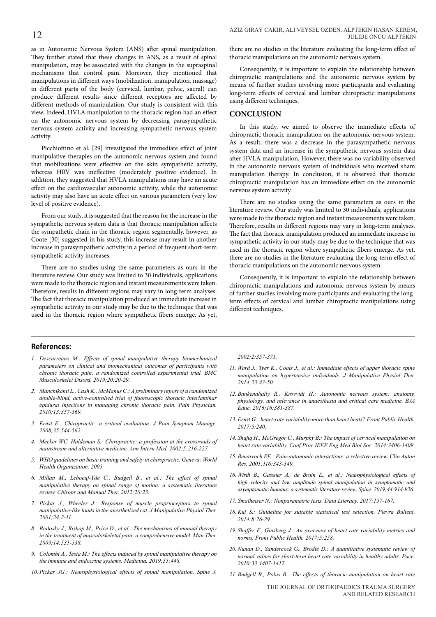as in Autonomic Nervous System (ANS) after spinal manipulation. They further stated that these changes in ANS, as a result of spinal manipulation, may be associated with the changes in the supraspinal mechanisms that control pain. Moreover, they mentioned that manipulations in different ways (mobilization, manipulation, massage) in different parts of the body (cervical, lumbar, pelvic, sacral) can produce different results since different receptors are affected by different methods of manipulation. Our study is consistent with this view. Indeed, HVLA manipulation to the thoracic region had an effect on the autonomic nervous system by decreasing parasympathetic nervous system activity and increasing sympathetic nervous system activity.

Picchiottino et al. [29] investigated the immediate effect of joint manipulative therapies on the autonomic nervous system and found that mobilizations were effective on the skin sympathetic activity, whereas HRV was ineffective (moderately positive evidence). In addition, they suggested that HVLA manipulations may have an acute effect on the cardiovascular autonomic activity, while the autonomic activity may also have an acute effect on various parameters (very low level of positive evidence).

From our study, it is suggested that the reason for the increase in the sympathetic nervous system data is that thoracic manipulation affects the sympathetic chain in the thoracic region segmentally, however, as Coote [30] suggested in his study, this increase may result in another increase in parasympathetic activity in a period of frequent short-term sympathetic activity increases.

There are no studies using the same parameters as ours in the literature review. Our study was limited to 30 individuals, applications were made to the thoracic region and instant measurements were taken. Therefore, results in different regions may vary in long-term analyses. The fact that thoracic manipulation produced an immediate increase in sympathetic activity in our study may be due to the technique that was used in the thoracic region where sympathetic fibers emerge. As yet,

there are no studies in the literature evaluating the long-term effect of thoracic manipulations on the autonomic nervous system.

Consequently, it is important to explain the relationship between chiropractic manipulations and the autonomic nervous system by means of further studies involving more participants and evaluating long-term effects of cervical and lumbar chiropractic manipulations using different techniques.

#### **CONCLUSION**

In this study, we aimed to observe the immediate effects of chiropractic thoracic manipulation on the autonomic nervous system. As a result, there was a decrease in the parasympathetic nervous system data and an increase in the sympathetic nervous system data after HVLA manipulation. However, there was no variability observed in the autonomic nervous system of individuals who received sham manipulation therapy. In conclusion, it is observed that thoracic chiropractic manipulation has an immediate effect on the autonomic nervous system activity.

There are no studies using the same parameters as ours in the literature review. Our study was limited to 30 individuals, applications were made to the thoracic region and instant measurements were taken. Therefore, results in different regions may vary in long-term analyses. The fact that thoracic manipulation produced an immediate increase in sympathetic activity in our study may be due to the technique that was used in the thoracic region where sympathetic fibers emerge. As yet, there are no studies in the literature evaluating the long-term effect of thoracic manipulations on the autonomic nervous system.

Consequently, it is important to explain the relationship between chiropractic manipulations and autonomic nervous system by means of further studies involving more participants and evaluating the longterm effects of cervical and lumbar chiropractic manipulations using different techniques.

### **References:**

- *1. Descarreaux M.: Effects of spinal manipulative therapy biomechanical parameters on clinical and biomechanical outcomes of participants with chronic thoracic pain: a randomized controlled experimental trial. BMC Musculoskelet Disord. 2019;20:20-29.*
- *2. Manchikanti L., Cash K., McManus C.: A preliminary report of a randomized double-blind, active-controlled trial of fluoroscopic thoracic interlaminar epidural injections in managing chronic thoracic pain. Pain Physician. 2010;13:357-369.*
- *3. Ernst E.: Chiropractic: a critical evaluation. J Pain Symptom Manage. 2008;35:544-562.*
- *4. Meeker WC, Haldeman S.: Chiropractic: a profession at the crossroads of mainstream and alternative medicine. Ann Intern Med. 2002;5:216-227.*
- *5. WHO guidelines on basic training and safety in chiropractic. Geneva: World Health Organization. 2005.*
- *6. Millan M., Leboeuf-Yde C., Budgell B., et al.: The effect of spinal manipulative therapy on spinal range of motion: a systematic literature review. Chiropr and Manual Ther. 2012;20:23.*
- *7. Pickar J., Wheeler J.: Response of muscle proprioceptors to spinal manipulative-like loads in the anesthetized cat. J Manipulative Physiol Ther. 2001;24:2-11.*
- *8. Bialosky J., Bishop M., Price D., et al.: The mechanisms of manual therapy in the treatment of musculoskeletal pain: a comprehensive model. Man Ther. 2009;14:531-538.*
- *9. Colombi A., Testa M.: The effects induced by spinal manipulative therapy on the immune and endocrine systems. Medicina. 2019;55:448.*
- *10. Pickar JG.: Neurophysiological effects of spinal manipulation. Spine J.*

*2002;2:357-371.*

- *11. Ward J., Tyer K., Coats J., et al.: Immediate effects of upper thoracic spine manipulation on hypertensive individuals. J Manipulative Physiol Ther. 2014;23:43-50.*
- *12. Bankenahally R., Krovvidi H.: Autonomic nervous system: anatomy, physiology, and relevance in anaesthesia and critical care medicine. BJA Educ. 2016;16:381-387.*
- *13. Ernst G.: heart-rate variability-more than heart beats? Front Public Health. 2017;5:240.*
- *14. Shafiq H., McGregor C., Murphy B.: The impact of cervical manipulation on heart rate variability. Conf Proc IEEE Eng Med Biol Soc. 2014:3406-3409.*
- *15. Benarroch EE.: Pain-autonomic interactions: a selective review. Clin Auton Res. 2001;116:343-349.*
- *16. Wirth B., Gassner A., de Bruin E., et al.: Neurophysiological effects of high velocity and low amplitude spinal manipulation in symptomatic and asymptomatic humans: a systematic literature review. Spine. 2019;44:914-926.*
- *17. Smalheiser N.: Nonparametric tests. Data Literacy. 2017:157-167.*
- *18. Kul S.: Guideline for suitable statistical test selection. Plevra Bulteni. 2014:8:26-29.*
- *19. Shaffer F., Ginsberg J.: An overview of heart rate variability metrics and norms. Front Public Health. 2017;5:258.*
- *20. Nunan D., Sandercock G., Brodie D.: A quantitative systematic review of normal values for short-term heart rate variability in healthy adults. Pace. 2010;33:1407-1417.*
- *21. Budgell B., Polus B.: The effects of thoracic manipulation on heart rate*

THE JOURNAL OF ORTHOPAEDICS TRAUMA SURGERY AND RELATED RESEARCH